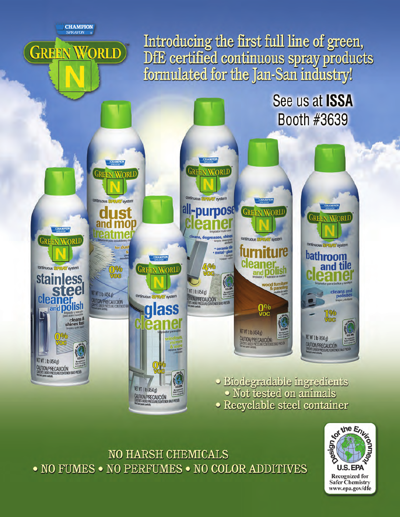**CHAMPION** SPRAYON

ORLD

GREEN

Introducing the first full line of green,<br>DfE certified continuous spray products<br>formulated for the Jan-San industry!

See us at ISSA

Booth #3639 **GREEN WORLD GREEN WORLD** continuous SPRAY system continuous all-purpose **GREEN WORLD** IS **GREEN WORLD** cleans, degreases, shi **GREEN WORLI** continuous STPRAY system continuous STPRAY system bathroom **Cleaner** and tile 49% continuous! **Way system GREEN WORLD** 0% **stainless**  $\sqrt{2}$ vood fu WT 1 lb (454 g) cleans and<br>polishes ET WT 1 lb (454 g) continuous **UTION/PRECAUCIÓN Cleaner**<br>**Example is and polish AUTION/PRECAUCIÓN** glass  $\frac{0\%}{\sqrt{2}}$ % cleans &<br>shines fast voc NET WT 1 lb (454 g) NET WT 1 lb (454 g) n W CAUTION/PRECAUCIÓN: CAUTION/PRECAUCIÓN NET WT 1 lb (454 g) CAUTION/PRECAUCIÓN · Biodegradable ingredients **NET WT 1 lb (454 g)** · Not tested on animals CAUTION/PRECAUCIÓN · Recyclable steel container

**NO HARSH CHEMICALS** • NO FUMES • NO PERFUMES • NO COLOR ADDITIVES